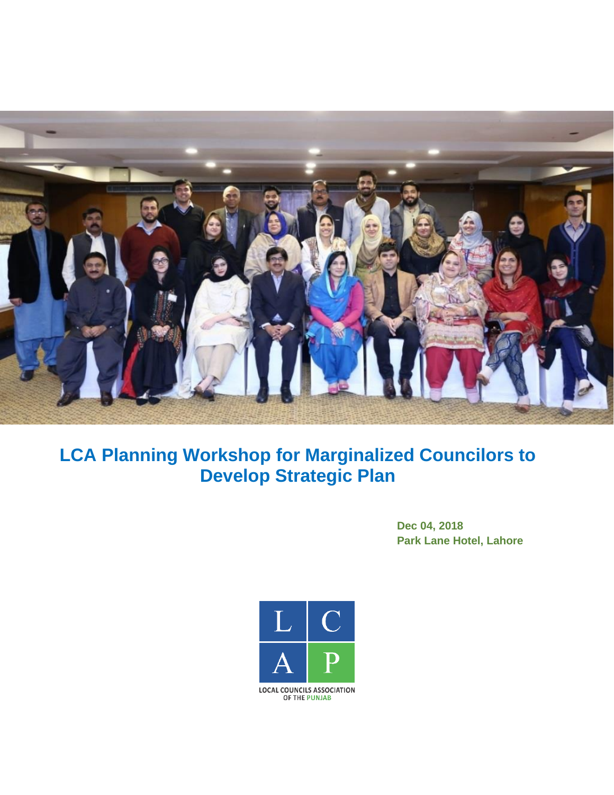

# **LCA Planning Workshop for Marginalized Councilors to Develop Strategic Plan**

**Dec 04, 2018 Park Lane Hotel, Lahore**

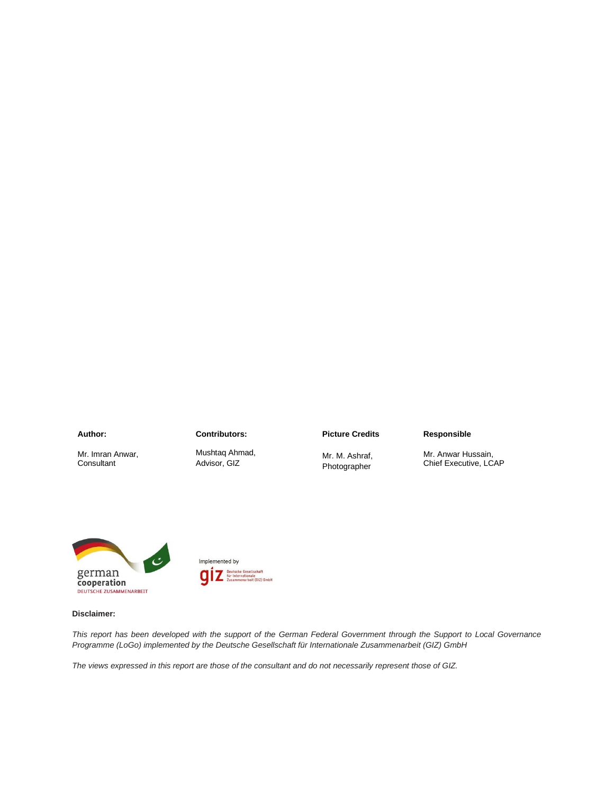#### **Author:**

Mr. Imran Anwar, **Consultant** 

**Contributors:** Mushtaq Ahmad,

Advisor, GIZ

#### **Picture Credits**

#### Mr. M. Ashraf, Photographer

**Responsible**

Mr. Anwar Hussain, Chief Executive, LCAP





#### **Disclaimer:**

*This report has been developed with the support of the German Federal Government through the Support to Local Governance Programme (LoGo) implemented by the Deutsche Gesellschaft für Internationale Zusammenarbeit (GIZ) GmbH*

*The views expressed in this report are those of the consultant and do not necessarily represent those of GIZ.*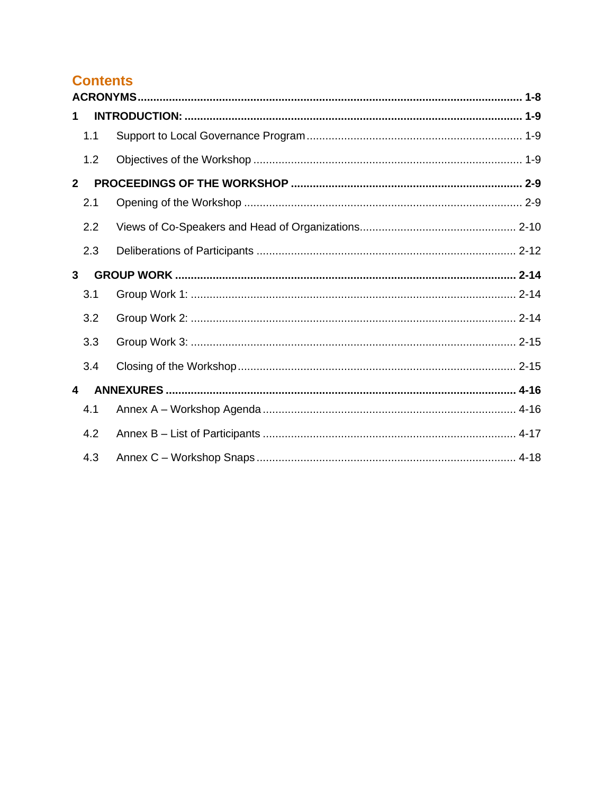# **Contents**

| 1            |     |  |  |
|--------------|-----|--|--|
|              | 1.1 |  |  |
|              | 1.2 |  |  |
| $\mathbf{2}$ |     |  |  |
|              | 2.1 |  |  |
|              | 2.2 |  |  |
|              | 2.3 |  |  |
| $\mathbf{3}$ |     |  |  |
|              | 3.1 |  |  |
|              | 3.2 |  |  |
|              | 3.3 |  |  |
|              | 3.4 |  |  |
| 4            |     |  |  |
|              | 4.1 |  |  |
|              | 4.2 |  |  |
|              | 4.3 |  |  |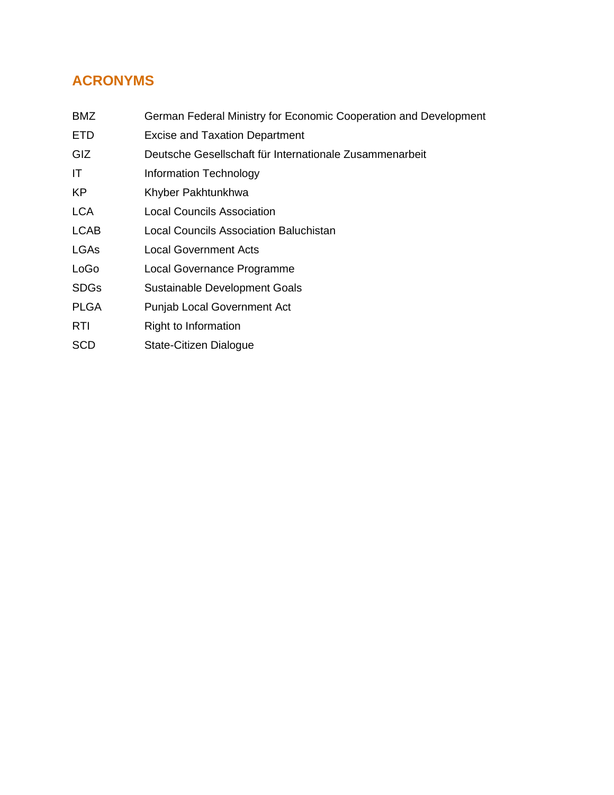# <span id="page-3-0"></span>**ACRONYMS**

- BMZ German Federal Ministry for Economic Cooperation and Development
- ETD Excise and Taxation Department
- GIZ Deutsche Gesellschaft für Internationale Zusammenarbeit
- IT Information Technology
- KP Khyber Pakhtunkhwa
- LCA Local Councils Association
- LCAB Local Councils Association Baluchistan
- LGAs Local Government Acts
- LoGo Local Governance Programme
- SDGs Sustainable Development Goals
- PLGA Punjab Local Government Act
- RTI Right to Information
- SCD State-Citizen Dialogue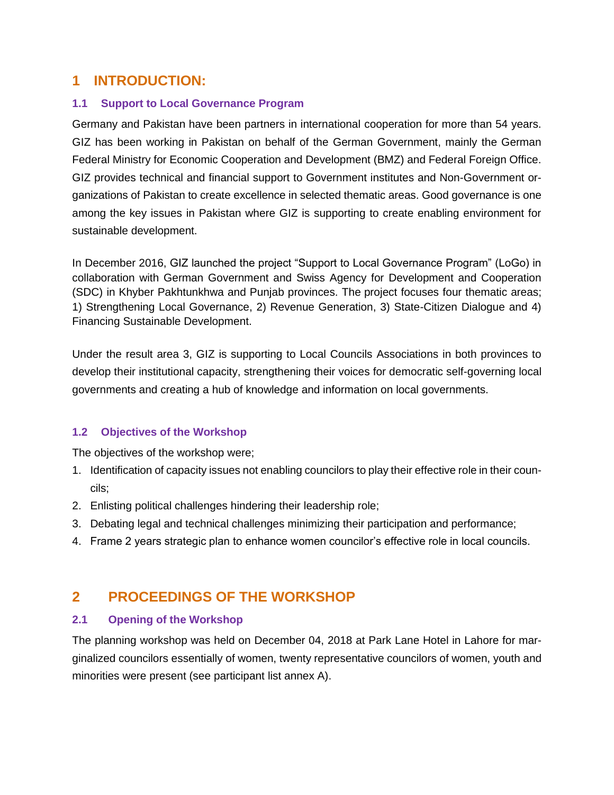## <span id="page-4-0"></span>**1 INTRODUCTION:**

### <span id="page-4-1"></span>**1.1 Support to Local Governance Program**

Germany and Pakistan have been partners in international cooperation for more than 54 years. GIZ has been working in Pakistan on behalf of the German Government, mainly the German Federal Ministry for Economic Cooperation and Development (BMZ) and Federal Foreign Office. GIZ provides technical and financial support to Government institutes and Non-Government organizations of Pakistan to create excellence in selected thematic areas. Good governance is one among the key issues in Pakistan where GIZ is supporting to create enabling environment for sustainable development.

In December 2016, GIZ launched the project "Support to Local Governance Program" (LoGo) in collaboration with German Government and Swiss Agency for Development and Cooperation (SDC) in Khyber Pakhtunkhwa and Punjab provinces. The project focuses four thematic areas; 1) Strengthening Local Governance, 2) Revenue Generation, 3) State-Citizen Dialogue and 4) Financing Sustainable Development.

Under the result area 3, GIZ is supporting to Local Councils Associations in both provinces to develop their institutional capacity, strengthening their voices for democratic self-governing local governments and creating a hub of knowledge and information on local governments.

### <span id="page-4-2"></span>**1.2 Objectives of the Workshop**

The objectives of the workshop were;

- 1. Identification of capacity issues not enabling councilors to play their effective role in their councils;
- 2. Enlisting political challenges hindering their leadership role;
- 3. Debating legal and technical challenges minimizing their participation and performance;
- 4. Frame 2 years strategic plan to enhance women councilor's effective role in local councils.

# <span id="page-4-3"></span>**2 PROCEEDINGS OF THE WORKSHOP**

### <span id="page-4-4"></span>**2.1 Opening of the Workshop**

The planning workshop was held on December 04, 2018 at Park Lane Hotel in Lahore for marginalized councilors essentially of women, twenty representative councilors of women, youth and minorities were present (see participant list annex A).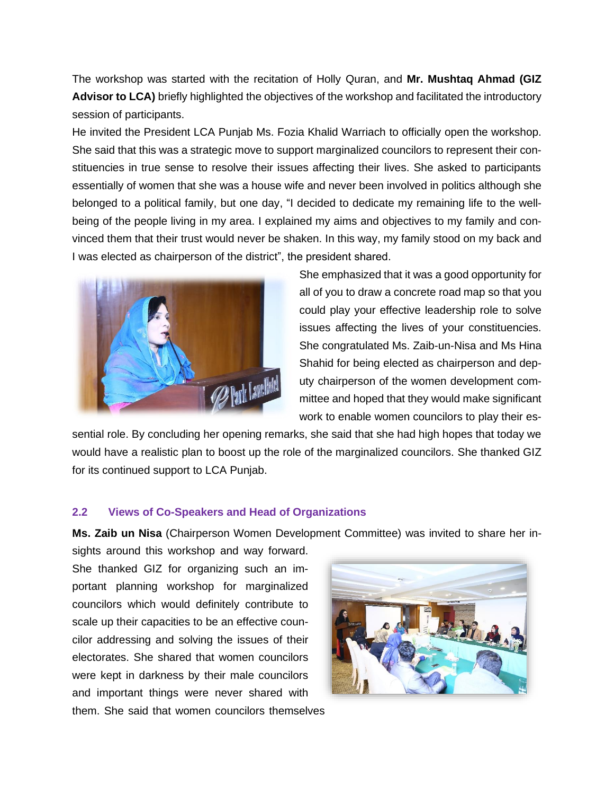The workshop was started with the recitation of Holly Quran, and **Mr. Mushtaq Ahmad (GIZ Advisor to LCA)** briefly highlighted the objectives of the workshop and facilitated the introductory session of participants.

He invited the President LCA Punjab Ms. Fozia Khalid Warriach to officially open the workshop. She said that this was a strategic move to support marginalized councilors to represent their constituencies in true sense to resolve their issues affecting their lives. She asked to participants essentially of women that she was a house wife and never been involved in politics although she belonged to a political family, but one day, "I decided to dedicate my remaining life to the wellbeing of the people living in my area. I explained my aims and objectives to my family and convinced them that their trust would never be shaken. In this way, my family stood on my back and I was elected as chairperson of the district", the president shared.



She emphasized that it was a good opportunity for all of you to draw a concrete road map so that you could play your effective leadership role to solve issues affecting the lives of your constituencies. She congratulated Ms. Zaib-un-Nisa and Ms Hina Shahid for being elected as chairperson and deputy chairperson of the women development committee and hoped that they would make significant work to enable women councilors to play their es-

sential role. By concluding her opening remarks, she said that she had high hopes that today we would have a realistic plan to boost up the role of the marginalized councilors. She thanked GIZ for its continued support to LCA Punjab.

#### <span id="page-5-0"></span>**2.2 Views of Co-Speakers and Head of Organizations**

**Ms. Zaib un Nisa** (Chairperson Women Development Committee) was invited to share her in-

sights around this workshop and way forward. She thanked GIZ for organizing such an important planning workshop for marginalized councilors which would definitely contribute to scale up their capacities to be an effective councilor addressing and solving the issues of their electorates. She shared that women councilors were kept in darkness by their male councilors and important things were never shared with



them. She said that women councilors themselves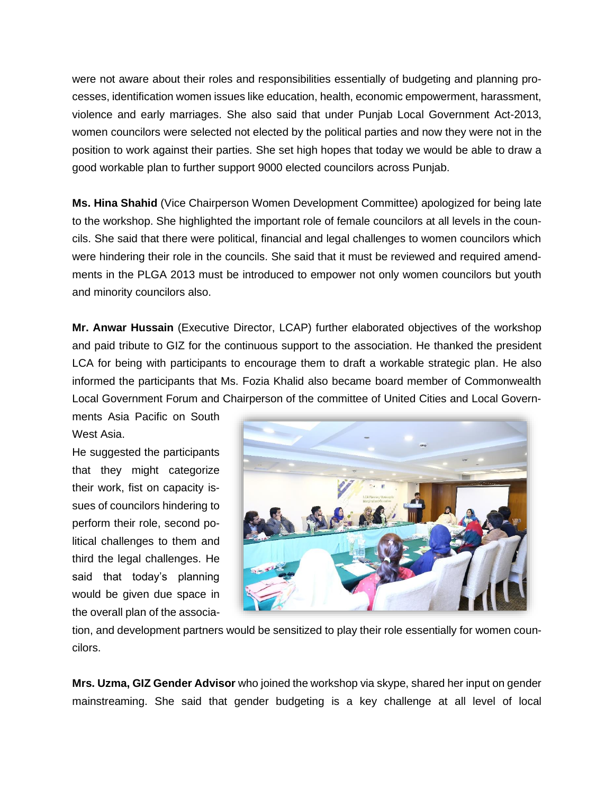were not aware about their roles and responsibilities essentially of budgeting and planning processes, identification women issues like education, health, economic empowerment, harassment, violence and early marriages. She also said that under Punjab Local Government Act-2013, women councilors were selected not elected by the political parties and now they were not in the position to work against their parties. She set high hopes that today we would be able to draw a good workable plan to further support 9000 elected councilors across Punjab.

**Ms. Hina Shahid** (Vice Chairperson Women Development Committee) apologized for being late to the workshop. She highlighted the important role of female councilors at all levels in the councils. She said that there were political, financial and legal challenges to women councilors which were hindering their role in the councils. She said that it must be reviewed and required amendments in the PLGA 2013 must be introduced to empower not only women councilors but youth and minority councilors also.

**Mr. Anwar Hussain** (Executive Director, LCAP) further elaborated objectives of the workshop and paid tribute to GIZ for the continuous support to the association. He thanked the president LCA for being with participants to encourage them to draft a workable strategic plan. He also informed the participants that Ms. Fozia Khalid also became board member of Commonwealth Local Government Forum and Chairperson of the committee of United Cities and Local Govern-

ments Asia Pacific on South West Asia.

He suggested the participants that they might categorize their work, fist on capacity issues of councilors hindering to perform their role, second political challenges to them and third the legal challenges. He said that today's planning would be given due space in the overall plan of the associa-



tion, and development partners would be sensitized to play their role essentially for women councilors.

**Mrs. Uzma, GIZ Gender Advisor** who joined the workshop via skype, shared her input on gender mainstreaming. She said that gender budgeting is a key challenge at all level of local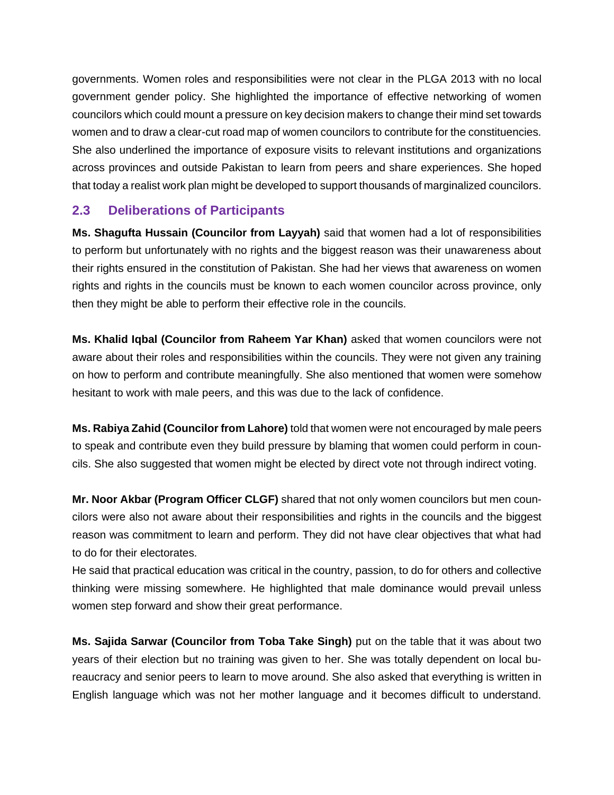governments. Women roles and responsibilities were not clear in the PLGA 2013 with no local government gender policy. She highlighted the importance of effective networking of women councilors which could mount a pressure on key decision makers to change their mind set towards women and to draw a clear-cut road map of women councilors to contribute for the constituencies. She also underlined the importance of exposure visits to relevant institutions and organizations across provinces and outside Pakistan to learn from peers and share experiences. She hoped that today a realist work plan might be developed to support thousands of marginalized councilors.

## <span id="page-7-0"></span>**2.3 Deliberations of Participants**

**Ms. Shagufta Hussain (Councilor from Layyah)** said that women had a lot of responsibilities to perform but unfortunately with no rights and the biggest reason was their unawareness about their rights ensured in the constitution of Pakistan. She had her views that awareness on women rights and rights in the councils must be known to each women councilor across province, only then they might be able to perform their effective role in the councils.

**Ms. Khalid Iqbal (Councilor from Raheem Yar Khan)** asked that women councilors were not aware about their roles and responsibilities within the councils. They were not given any training on how to perform and contribute meaningfully. She also mentioned that women were somehow hesitant to work with male peers, and this was due to the lack of confidence.

**Ms. Rabiya Zahid (Councilor from Lahore)** told that women were not encouraged by male peers to speak and contribute even they build pressure by blaming that women could perform in councils. She also suggested that women might be elected by direct vote not through indirect voting.

**Mr. Noor Akbar (Program Officer CLGF)** shared that not only women councilors but men councilors were also not aware about their responsibilities and rights in the councils and the biggest reason was commitment to learn and perform. They did not have clear objectives that what had to do for their electorates.

He said that practical education was critical in the country, passion, to do for others and collective thinking were missing somewhere. He highlighted that male dominance would prevail unless women step forward and show their great performance.

**Ms. Sajida Sarwar (Councilor from Toba Take Singh)** put on the table that it was about two years of their election but no training was given to her. She was totally dependent on local bureaucracy and senior peers to learn to move around. She also asked that everything is written in English language which was not her mother language and it becomes difficult to understand.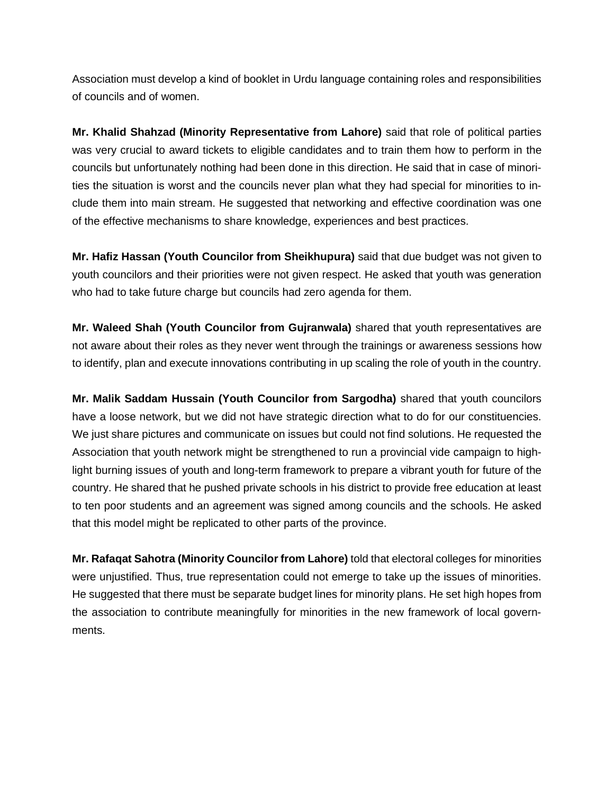Association must develop a kind of booklet in Urdu language containing roles and responsibilities of councils and of women.

**Mr. Khalid Shahzad (Minority Representative from Lahore)** said that role of political parties was very crucial to award tickets to eligible candidates and to train them how to perform in the councils but unfortunately nothing had been done in this direction. He said that in case of minorities the situation is worst and the councils never plan what they had special for minorities to include them into main stream. He suggested that networking and effective coordination was one of the effective mechanisms to share knowledge, experiences and best practices.

**Mr. Hafiz Hassan (Youth Councilor from Sheikhupura)** said that due budget was not given to youth councilors and their priorities were not given respect. He asked that youth was generation who had to take future charge but councils had zero agenda for them.

**Mr. Waleed Shah (Youth Councilor from Gujranwala)** shared that youth representatives are not aware about their roles as they never went through the trainings or awareness sessions how to identify, plan and execute innovations contributing in up scaling the role of youth in the country.

**Mr. Malik Saddam Hussain (Youth Councilor from Sargodha)** shared that youth councilors have a loose network, but we did not have strategic direction what to do for our constituencies. We just share pictures and communicate on issues but could not find solutions. He requested the Association that youth network might be strengthened to run a provincial vide campaign to highlight burning issues of youth and long-term framework to prepare a vibrant youth for future of the country. He shared that he pushed private schools in his district to provide free education at least to ten poor students and an agreement was signed among councils and the schools. He asked that this model might be replicated to other parts of the province.

**Mr. Rafaqat Sahotra (Minority Councilor from Lahore)** told that electoral colleges for minorities were unjustified. Thus, true representation could not emerge to take up the issues of minorities. He suggested that there must be separate budget lines for minority plans. He set high hopes from the association to contribute meaningfully for minorities in the new framework of local governments.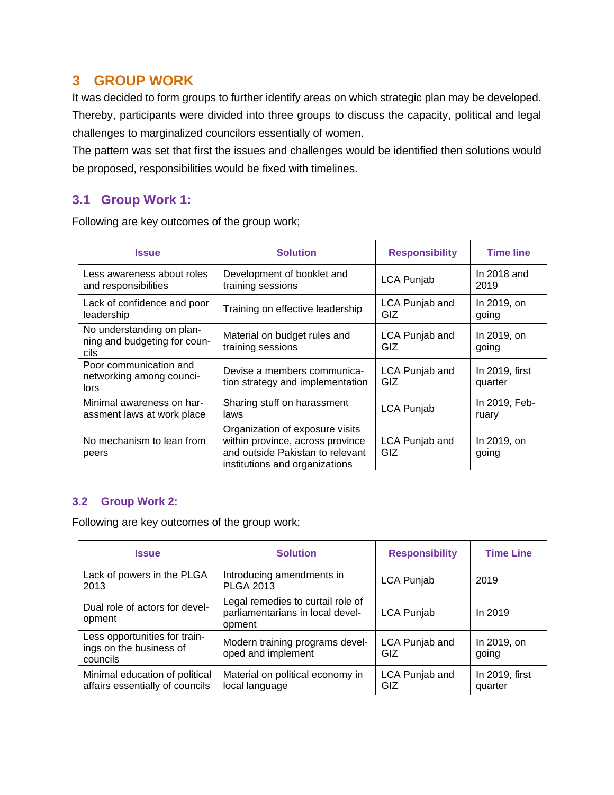## <span id="page-9-0"></span>**3 GROUP WORK**

It was decided to form groups to further identify areas on which strategic plan may be developed. Thereby, participants were divided into three groups to discuss the capacity, political and legal challenges to marginalized councilors essentially of women.

The pattern was set that first the issues and challenges would be identified then solutions would be proposed, responsibilities would be fixed with timelines.

## <span id="page-9-1"></span>**3.1 Group Work 1:**

Following are key outcomes of the group work;

| <b>Issue</b>                                                                  | <b>Solution</b>                                                                                                                           | <b>Responsibility</b> | <b>Time line</b>          |
|-------------------------------------------------------------------------------|-------------------------------------------------------------------------------------------------------------------------------------------|-----------------------|---------------------------|
| Less awareness about roles<br>and responsibilities                            | Development of booklet and<br>training sessions                                                                                           | <b>LCA Punjab</b>     | In $2018$ and<br>2019     |
| Lack of confidence and poor<br>Training on effective leadership<br>leadership |                                                                                                                                           | LCA Punjab and<br>GIZ | In 2019, on<br>going      |
| No understanding on plan-<br>ning and budgeting for coun-<br>cils             | Material on budget rules and<br>training sessions                                                                                         | LCA Punjab and<br>GIZ | In 2019, on<br>going      |
| Poor communication and<br>networking among counci-<br>lors                    | Devise a members communica-<br>tion strategy and implementation                                                                           | LCA Punjab and<br>GIZ | In 2019, first<br>quarter |
| Minimal awareness on har-<br>assment laws at work place                       | Sharing stuff on harassment<br>laws                                                                                                       | <b>LCA Punjab</b>     | In 2019, Feb-<br>ruary    |
| No mechanism to lean from<br>peers                                            | Organization of exposure visits<br>within province, across province<br>and outside Pakistan to relevant<br>institutions and organizations | LCA Punjab and<br>GIZ | In 2019, on<br>going      |

### <span id="page-9-2"></span>**3.2 Group Work 2:**

Following are key outcomes of the group work;

| <b>Issue</b>                                                         | <b>Solution</b>                                                                 | <b>Responsibility</b> | <b>Time Line</b>          |
|----------------------------------------------------------------------|---------------------------------------------------------------------------------|-----------------------|---------------------------|
| Lack of powers in the PLGA<br>2013                                   | Introducing amendments in<br><b>PLGA 2013</b>                                   | <b>LCA Punjab</b>     | 2019                      |
| Dual role of actors for devel-<br>opment                             | Legal remedies to curtail role of<br>parliamentarians in local devel-<br>opment | <b>LCA Punjab</b>     | In 2019                   |
| Less opportunities for train-<br>ings on the business of<br>councils | Modern training programs devel-<br>oped and implement                           | LCA Punjab and<br>GIZ | In 2019, on<br>going      |
| Minimal education of political<br>affairs essentially of councils    | Material on political economy in<br>local language                              | LCA Punjab and<br>GIZ | In 2019, first<br>quarter |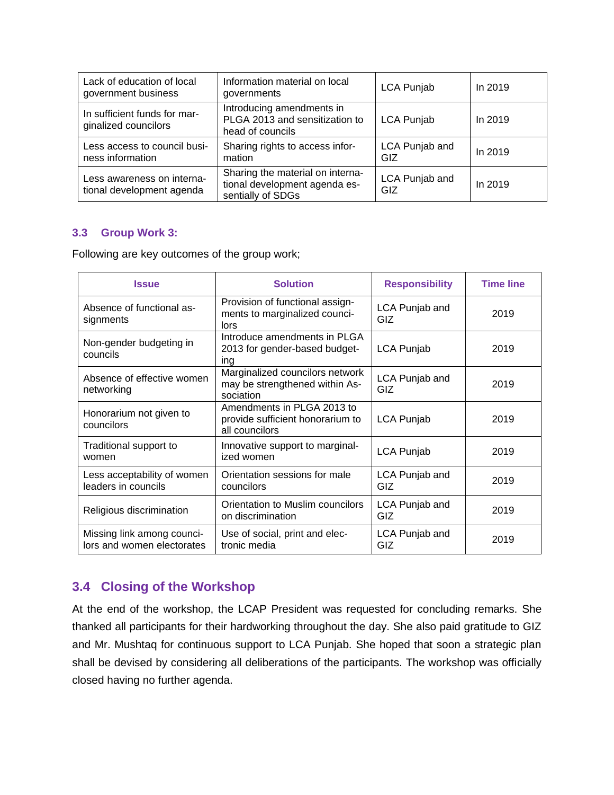| Lack of education of local<br>government business       | Information material on local<br>governments                                           | <b>LCA Punjab</b>     | In 2019 |
|---------------------------------------------------------|----------------------------------------------------------------------------------------|-----------------------|---------|
| In sufficient funds for mar-<br>ginalized councilors    | Introducing amendments in<br>PLGA 2013 and sensitization to<br>head of councils        | <b>LCA Punjab</b>     | In 2019 |
| Less access to council busi-<br>ness information        | Sharing rights to access infor-<br>mation                                              | LCA Punjab and<br>GIZ | In 2019 |
| Less awareness on interna-<br>tional development agenda | Sharing the material on interna-<br>tional development agenda es-<br>sentially of SDGs | LCA Punjab and<br>GIZ | In 2019 |

#### <span id="page-10-0"></span>**3.3 Group Work 3:**

Following are key outcomes of the group work;

| <b>Issue</b>                                                                                                | <b>Solution</b>                                                                  | <b>Responsibility</b>        | <b>Time line</b> |
|-------------------------------------------------------------------------------------------------------------|----------------------------------------------------------------------------------|------------------------------|------------------|
| Absence of functional as-<br>signments                                                                      | Provision of functional assign-<br>ments to marginalized counci-<br>lors         | LCA Punjab and<br>GIZ.       | 2019             |
| Introduce amendments in PLGA<br>Non-gender budgeting in<br>2013 for gender-based budget-<br>councils<br>ing |                                                                                  | <b>LCA Punjab</b>            | 2019             |
| Absence of effective women<br>networking                                                                    | Marginalized councilors network<br>may be strengthened within As-<br>sociation   | LCA Punjab and<br><b>GIZ</b> | 2019             |
| Honorarium not given to<br>councilors                                                                       | Amendments in PLGA 2013 to<br>provide sufficient honorarium to<br>all councilors | <b>LCA Punjab</b>            | 2019             |
| Traditional support to<br>women                                                                             | Innovative support to marginal-<br>ized women                                    | <b>LCA Punjab</b>            | 2019             |
| Less acceptability of women<br>leaders in councils                                                          | Orientation sessions for male<br>councilors                                      | LCA Punjab and<br><b>GIZ</b> | 2019             |
| Religious discrimination                                                                                    | Orientation to Muslim councilors<br>on discrimination                            | LCA Punjab and<br><b>GIZ</b> | 2019             |
| Missing link among counci-<br>lors and women electorates                                                    | Use of social, print and elec-<br>tronic media                                   | LCA Punjab and<br>GIZ        | 2019             |

## <span id="page-10-1"></span>**3.4 Closing of the Workshop**

At the end of the workshop, the LCAP President was requested for concluding remarks. She thanked all participants for their hardworking throughout the day. She also paid gratitude to GIZ and Mr. Mushtaq for continuous support to LCA Punjab. She hoped that soon a strategic plan shall be devised by considering all deliberations of the participants. The workshop was officially closed having no further agenda.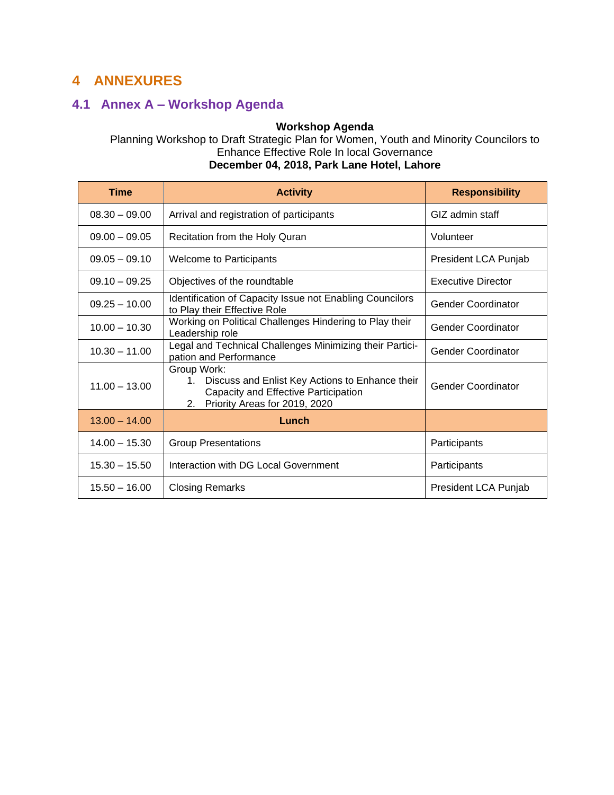# <span id="page-11-0"></span>**4 ANNEXURES**

# <span id="page-11-1"></span>**4.1 Annex A – Workshop Agenda**

#### **Workshop Agenda**

Planning Workshop to Draft Strategic Plan for Women, Youth and Minority Councilors to Enhance Effective Role In local Governance

| <b>Time</b>     | <b>Activity</b>                                                                                                                                     | <b>Responsibility</b>     |
|-----------------|-----------------------------------------------------------------------------------------------------------------------------------------------------|---------------------------|
| $08.30 - 09.00$ | Arrival and registration of participants                                                                                                            | GIZ admin staff           |
| $09.00 - 09.05$ | Recitation from the Holy Quran                                                                                                                      | Volunteer                 |
| $09.05 - 09.10$ | <b>Welcome to Participants</b>                                                                                                                      | President LCA Punjab      |
| $09.10 - 09.25$ | Objectives of the roundtable                                                                                                                        | <b>Executive Director</b> |
| $09.25 - 10.00$ | Identification of Capacity Issue not Enabling Councilors<br>to Play their Effective Role                                                            | <b>Gender Coordinator</b> |
| $10.00 - 10.30$ | Working on Political Challenges Hindering to Play their<br>Leadership role                                                                          | <b>Gender Coordinator</b> |
| $10.30 - 11.00$ | Legal and Technical Challenges Minimizing their Partici-<br>pation and Performance                                                                  | <b>Gender Coordinator</b> |
| $11.00 - 13.00$ | Group Work:<br>Discuss and Enlist Key Actions to Enhance their<br>1.<br>Capacity and Effective Participation<br>Priority Areas for 2019, 2020<br>2. | <b>Gender Coordinator</b> |
| $13.00 - 14.00$ | Lunch                                                                                                                                               |                           |
| $14.00 - 15.30$ | <b>Group Presentations</b>                                                                                                                          | Participants              |
| $15.30 - 15.50$ | Interaction with DG Local Government                                                                                                                | Participants              |
| $15.50 - 16.00$ | <b>Closing Remarks</b>                                                                                                                              | President LCA Punjab      |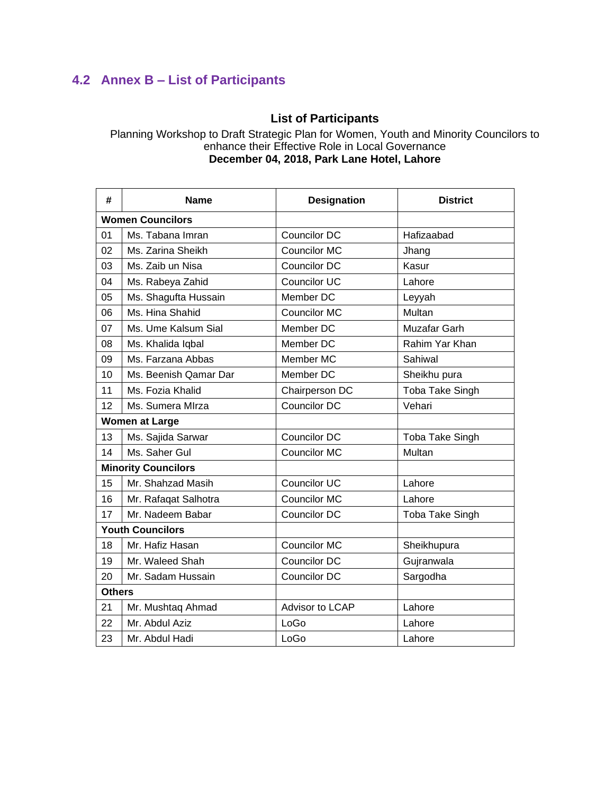# <span id="page-12-0"></span>**4.2 Annex B – List of Participants**

# **List of Participants**

Planning Workshop to Draft Strategic Plan for Women, Youth and Minority Councilors to enhance their Effective Role in Local Governance **December 04, 2018, Park Lane Hotel, Lahore**

| #                          | <b>Name</b>             | <b>Designation</b>  | <b>District</b>        |
|----------------------------|-------------------------|---------------------|------------------------|
| <b>Women Councilors</b>    |                         |                     |                        |
| 01                         | Ms. Tabana Imran        | Councilor DC        | Hafizaabad             |
| 02                         | Ms. Zarina Sheikh       | <b>Councilor MC</b> | Jhang                  |
| 03                         | Ms. Zaib un Nisa        | Councilor DC        | Kasur                  |
| 04                         | Ms. Rabeya Zahid        | <b>Councilor UC</b> | Lahore                 |
| 05                         | Ms. Shagufta Hussain    | Member DC           | Leyyah                 |
| 06                         | Ms. Hina Shahid         | Councilor MC        | Multan                 |
| 07                         | Ms. Ume Kalsum Sial     | Member DC           | Muzafar Garh           |
| 08                         | Ms. Khalida Iqbal       | Member DC           | Rahim Yar Khan         |
| 09                         | Ms. Farzana Abbas       | Member MC           | Sahiwal                |
| 10                         | Ms. Beenish Qamar Dar   | Member DC           | Sheikhu pura           |
| 11                         | Ms. Fozia Khalid        | Chairperson DC      | <b>Toba Take Singh</b> |
| 12                         | Ms. Sumera MIrza        | Councilor DC        | Vehari                 |
| <b>Women at Large</b>      |                         |                     |                        |
| 13                         | Ms. Sajida Sarwar       | Councilor DC        | Toba Take Singh        |
| 14                         | Ms. Saher Gul           | <b>Councilor MC</b> | Multan                 |
| <b>Minority Councilors</b> |                         |                     |                        |
| 15                         | Mr. Shahzad Masih       | <b>Councilor UC</b> | Lahore                 |
| 16                         | Mr. Rafaqat Salhotra    | <b>Councilor MC</b> | Lahore                 |
| 17                         | Mr. Nadeem Babar        | Councilor DC        | <b>Toba Take Singh</b> |
|                            | <b>Youth Councilors</b> |                     |                        |
| 18                         | Mr. Hafiz Hasan         | Councilor MC        | Sheikhupura            |
| 19                         | Mr. Waleed Shah         | Councilor DC        | Gujranwala             |
| 20                         | Mr. Sadam Hussain       | Councilor DC        | Sargodha               |
| <b>Others</b>              |                         |                     |                        |
| 21                         | Mr. Mushtaq Ahmad       | Advisor to LCAP     | Lahore                 |
| 22                         | Mr. Abdul Aziz          | LoGo                | Lahore                 |
| 23                         | Mr. Abdul Hadi          | LoGo                | Lahore                 |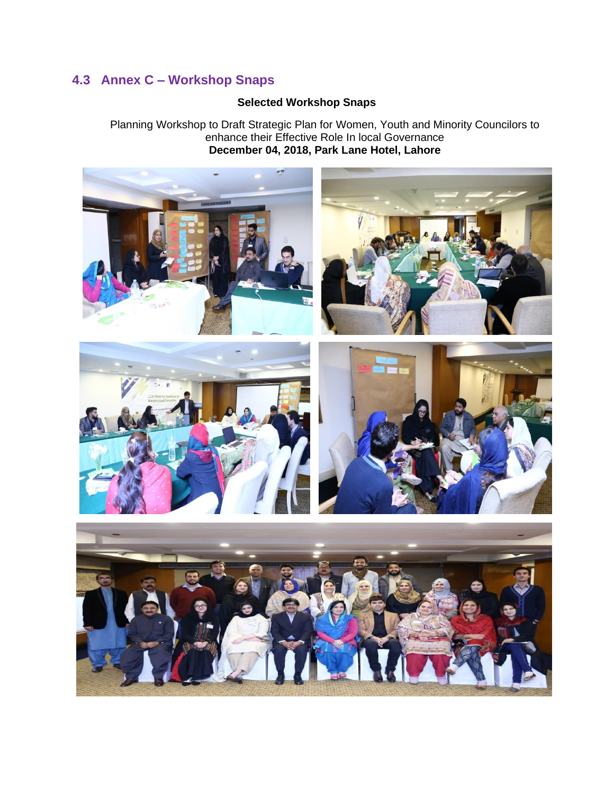# <span id="page-13-0"></span>**4.3 Annex C – Workshop Snaps**

## **Selected Workshop Snaps**

Planning Workshop to Draft Strategic Plan for Women, Youth and Minority Councilors to enhance their Effective Role In local Governance **December 04, 2018, Park Lane Hotel, Lahore**